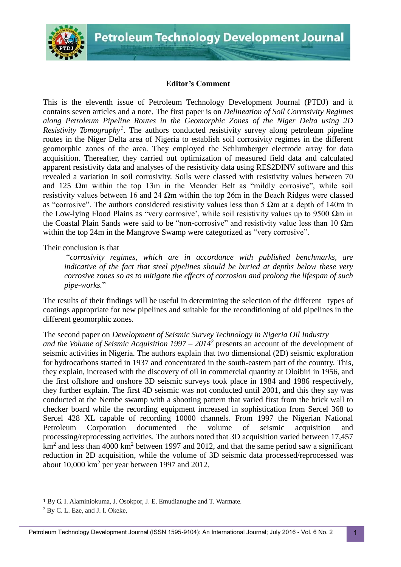

## **Editor's Comment**

This is the eleventh issue of Petroleum Technology Development Journal (PTDJ) and it contains seven articles and a note. The first paper is on *Delineation of Soil Corrosivity Regimes along Petroleum Pipeline Routes in the Geomorphic Zones of the Niger Delta using 2D Resistivity Tomography<sup>1</sup> .* The authors conducted resistivity survey along petroleum pipeline routes in the Niger Delta area of Nigeria to establish soil corrosivity regimes in the different geomorphic zones of the area. They employed the Schlumberger electrode array for data acquisition. Thereafter, they carried out optimization of measured field data and calculated apparent resistivity data and analyses of the resistivity data using RES2DINV software and this revealed a variation in soil corrosivity. Soils were classed with resistivity values between 70 and 125  $\Omega$ m within the top 13m in the Meander Belt as "mildly corrosive", while soil resistivity values between 16 and 24  $\Omega$ m within the top 26m in the Beach Ridges were classed as "corrosive". The authors considered resistivity values less than 5  $\Omega$ m at a depth of 140m in the Low-lying Flood Plains as "very corrosive', while soil resistivity values up to 9500  $\Omega$ m in the Coastal Plain Sands were said to be "non-corrosive" and resistivity value less than 10  $\Omega$ m within the top 24m in the Mangrove Swamp were categorized as "very corrosive".

## Their conclusion is that

"*corrosivity regimes, which are in accordance with published benchmarks, are indicative of the fact that steel pipelines should be buried at depths below these very corrosive zones so as to mitigate the effects of corrosion and prolong the lifespan of such pipe-works.*"

The results of their findings will be useful in determining the selection of the different types of coatings appropriate for new pipelines and suitable for the reconditioning of old pipelines in the different geomorphic zones.

The second paper on *Development of Seismic Survey Technology in Nigeria Oil Industry and the Volume of Seismic Acquisition 1997 – 2014<sup>2</sup>* presents an account of the development of seismic activities in Nigeria. The authors explain that two dimensional (2D) seismic exploration for hydrocarbons started in 1937 and concentrated in the south-eastern part of the country. This, they explain, increased with the discovery of oil in commercial quantity at Oloibiri in 1956, and the first offshore and onshore 3D seismic surveys took place in 1984 and 1986 respectively, they further explain. The first 4D seismic was not conducted until 2001, and this they say was conducted at the Nembe swamp with a shooting pattern that varied first from the brick wall to

checker board while the recording equipment increased in sophistication from Sercel 368 to Sercel 428 XL capable of recording 10000 channels. From 1997 the Nigerian National Petroleum Corporation documented the volume of seismic acquisition and processing/reprocessing activities. The authors noted that 3D acquisition varied between 17,457  $km<sup>2</sup>$  and less than 4000 km<sup>2</sup> between 1997 and 2012, and that the same period saw a significant reduction in 2D acquisition, while the volume of 3D seismic data processed/reprocessed was about  $10,000 \text{ km}^2$  per year between 1997 and 2012.

-

<sup>1</sup> By G. I. Alaminiokuma, J. Osokpor, J. E. Emudianughe and T. Warmate.

<sup>2</sup> By C. L. Eze, and J. I. Okeke,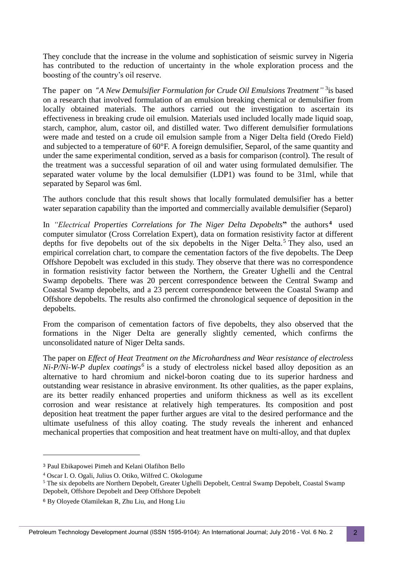They conclude that the increase in the volume and sophistication of seismic survey in Nigeria has contributed to the reduction of uncertainty in the whole exploration process and the boosting of the country's oil reserve.

The paper on "A New Demulsifier Formulation for Crude Oil Emulsions Treatment"<sup>3</sup> is based on a research that involved formulation of an emulsion breaking chemical or demulsifier from locally obtained materials. The authors carried out the investigation to ascertain its effectiveness in breaking crude oil emulsion. Materials used included locally made liquid soap, starch, camphor, alum, castor oil, and distilled water. Two different demulsifier formulations were made and tested on a crude oil emulsion sample from a Niger Delta field (Oredo Field) and subjected to a temperature of 60°F. A foreign demulsifier, Separol, of the same quantity and under the same experimental condition, served as a basis for comparison (control). The result of the treatment was a successful separation of oil and water using formulated demulsifier. The separated water volume by the local demulsifier (LDP1) was found to be 31ml, while that separated by Separol was 6ml.

The authors conclude that this result shows that locally formulated demulsifier has a better water separation capability than the imported and commercially available demulsifier (Separol)

In *"Electrical Properties Correlations for The Niger Delta Depobelts***"** the authors **<sup>4</sup>** used computer simulator (Cross Correlation Expert), data on formation resistivity factor at different depths for five depobelts out of the six depobelts in the Niger Delta.<sup>5</sup> They also, used an empirical correlation chart, to compare the cementation factors of the five depobelts. The Deep Offshore Depobelt was excluded in this study. They observe that there was no correspondence in formation resistivity factor between the Northern, the Greater Ughelli and the Central Swamp depobelts. There was 20 percent correspondence between the Central Swamp and Coastal Swamp depobelts, and a 23 percent correspondence between the Coastal Swamp and Offshore depobelts. The results also confirmed the chronological sequence of deposition in the depobelts.

From the comparison of cementation factors of five depobelts, they also observed that the formations in the Niger Delta are generally slightly cemented, which confirms the unconsolidated nature of Niger Delta sands.

The paper on *Effect of Heat Treatment on the Microhardness and Wear resistance of electroless Ni-P/Ni-W-P duplex coatings<sup>6</sup>* is a study of electroless nickel based alloy deposition as an alternative to hard chromium and nickel-boron coating due to its superior hardness and outstanding wear resistance in abrasive environment. Its other qualities, as the paper explains, are its better readily enhanced properties and uniform thickness as well as its excellent corrosion and wear resistance at relatively high temperatures. Its composition and post deposition heat treatment the paper further argues are vital to the desired performance and the ultimate usefulness of this alloy coating. The study reveals the inherent and enhanced mechanical properties that composition and heat treatment have on multi-alloy, and that duplex

l

<sup>3</sup> Paul Ebikapowei Pimeh and Kelani Olafihon Bello

<sup>4</sup> Oscar I. O. Ogali, Julius O. Otiko, Wilfred C. Okologume

<sup>&</sup>lt;sup>5</sup> The six depobelts are Northern Depobelt, Greater Ughelli Depobelt, Central Swamp Depobelt, Coastal Swamp Depobelt, Offshore Depobelt and Deep Offshore Depobelt

<sup>6</sup> By Oloyede Olamilekan R, Zhu Liu, and Hong Liu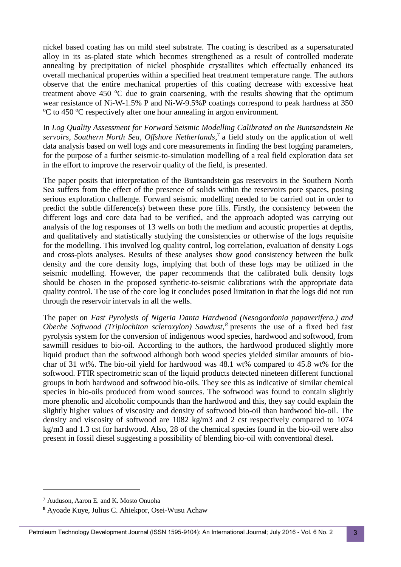nickel based coating has on mild steel substrate. The coating is described as a supersaturated alloy in its as-plated state which becomes strengthened as a result of controlled moderate annealing by precipitation of nickel phosphide crystallites which effectually enhanced its overall mechanical properties within a specified heat treatment temperature range. The authors observe that the entire mechanical properties of this coating decrease with excessive heat treatment above 450  $\degree$ C due to grain coarsening, with the results showing that the optimum wear resistance of Ni-W-1.5% P and Ni-W-9.5%P coatings correspond to peak hardness at 350 <sup>o</sup>C to 450 <sup>o</sup>C respectively after one hour annealing in argon environment.

In *Log Quality Assessment for Forward Seismic Modelling Calibrated on the Buntsandstein Re servoirs, Southern North Sea, Offshore Netherlands*, 7 a field study on the application of well data analysis based on well logs and core measurements in finding the best logging parameters, for the purpose of a further seismic-to-simulation modelling of a real field exploration data set in the effort to improve the reservoir quality of the field, is presented.

The paper posits that interpretation of the Buntsandstein gas reservoirs in the Southern North Sea suffers from the effect of the presence of solids within the reservoirs pore spaces, posing serious exploration challenge. Forward seismic modelling needed to be carried out in order to predict the subtle difference(s) between these pore fills. Firstly, the consistency between the different logs and core data had to be verified, and the approach adopted was carrying out analysis of the log responses of 13 wells on both the medium and acoustic properties at depths, and qualitatively and statistically studying the consistencies or otherwise of the logs requisite for the modelling. This involved log quality control, log correlation, evaluation of density Logs and cross-plots analyses. Results of these analyses show good consistency between the bulk density and the core density logs, implying that both of these logs may be utilized in the seismic modelling. However, the paper recommends that the calibrated bulk density logs should be chosen in the proposed synthetic-to-seismic calibrations with the appropriate data quality control. The use of the core log it concludes posed limitation in that the logs did not run through the reservoir intervals in all the wells.

The paper on *Fast Pyrolysis of Nigeria Danta Hardwood (Nesogordonia papaverifera.) and Obeche Softwood (Triplochiton scleroxylon) Sawdust, 8* presents the use of a fixed bed fast pyrolysis system for the conversion of indigenous wood species, hardwood and softwood, from sawmill residues to bio-oil. According to the authors, the hardwood produced slightly more liquid product than the softwood although both wood species yielded similar amounts of biochar of 31 wt%. The bio-oil yield for hardwood was 48.1 wt% compared to 45.8 wt% for the softwood. FTIR spectrometric scan of the liquid products detected nineteen different functional groups in both hardwood and softwood bio-oils. They see this as indicative of similar chemical species in bio-oils produced from wood sources. The softwood was found to contain slightly more phenolic and alcoholic compounds than the hardwood and this, they say could explain the slightly higher values of viscosity and density of softwood bio-oil than hardwood bio-oil. The density and viscosity of softwood are 1082 kg/m3 and 2 cst respectively compared to 1074 kg/m3 and 1.3 cst for hardwood. Also, 28 of the chemical species found in the bio-oil were also present in fossil diesel suggesting a possibility of blending bio-oil with conventional diesel**.**

-

<sup>7</sup> Auduson, Aaron E. and K. Mosto Onuoha

**<sup>8</sup>** Ayoade Kuye, Julius C. Ahiekpor, Osei-Wusu Achaw